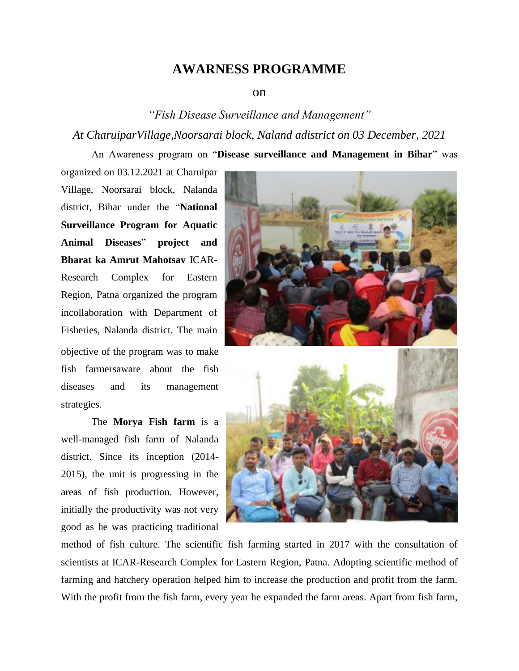## **AWARNESS PROGRAMME**

## on

## *"Fish Disease Surveillance and Management" At CharuiparVillage,Noorsarai block, Naland adistrict on 03 December, 2021*

An Awareness program on "**Disease surveillance and Management in Bihar**" was

organized on 03.12.2021 at Charuipar Village, Noorsarai block, Nalanda district, Bihar under the "**National Surveillance Program for Aquatic Animal Diseases**" **project and Bharat ka Amrut Mahotsav** ICAR-Research Complex for Eastern Region, Patna organized the program incollaboration with Department of Fisheries, Nalanda district. The main objective of the program was to make fish farmersaware about the fish diseases and its management strategies.

The **Morya Fish farm** is a well-managed fish farm of Nalanda district. Since its inception (2014- 2015), the unit is progressing in the areas of fish production. However, initially the productivity was not very good as he was practicing traditional



method of fish culture. The scientific fish farming started in 2017 with the consultation of scientists at ICAR-Research Complex for Eastern Region, Patna. Adopting scientific method of farming and hatchery operation helped him to increase the production and profit from the farm. With the profit from the fish farm, every year he expanded the farm areas. Apart from fish farm,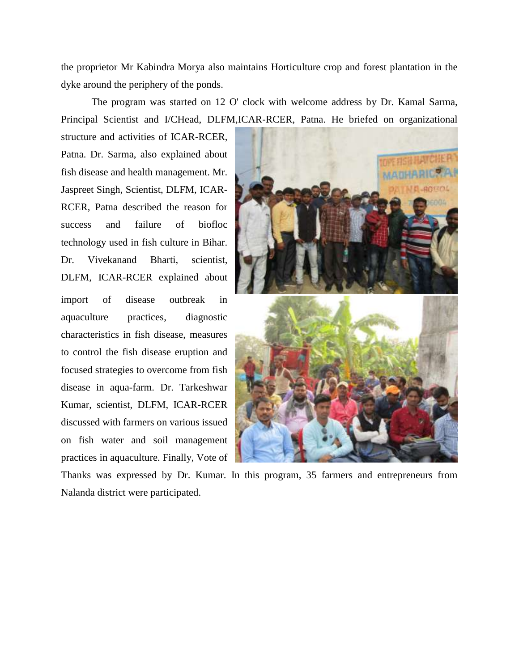the proprietor Mr Kabindra Morya also maintains Horticulture crop and forest plantation in the dyke around the periphery of the ponds.

The program was started on 12 O' clock with welcome address by Dr. Kamal Sarma, Principal Scientist and I/CHead, DLFM,ICAR-RCER, Patna. He briefed on organizational

structure and activities of ICAR-RCER, Patna. Dr. Sarma, also explained about fish disease and health management. Mr. Jaspreet Singh, Scientist, DLFM, ICAR-RCER, Patna described the reason for success and failure of biofloc technology used in fish culture in Bihar. Dr. Vivekanand Bharti, scientist, DLFM, ICAR-RCER explained about import of disease outbreak in aquaculture practices, diagnostic characteristics in fish disease, measures to control the fish disease eruption and focused strategies to overcome from fish disease in aqua-farm. Dr. Tarkeshwar Kumar, scientist, DLFM, ICAR-RCER discussed with farmers on various issued on fish water and soil management practices in aquaculture. Finally, Vote of



Thanks was expressed by Dr. Kumar. In this program, 35 farmers and entrepreneurs from Nalanda district were participated.